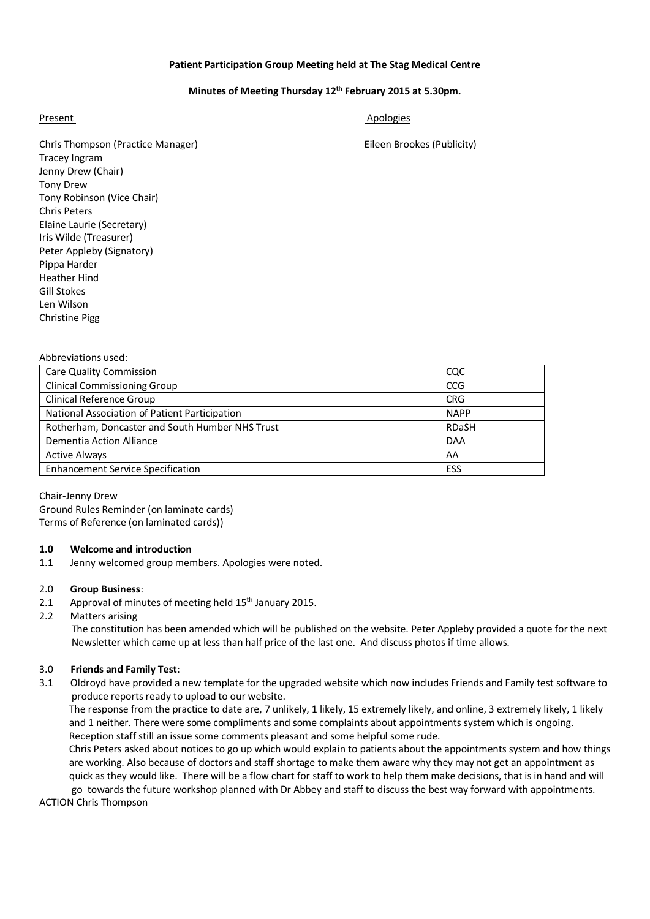## **Patient Participation Group Meeting held at The Stag Medical Centre**

## **Minutes of Meeting Thursday 12th February 2015 at 5.30pm.**

Present Apologies Apologies Apologies Apologies Apologies Apologies Apologies Apologies Apologies Apologies Apologies Apologies Apologies Apologies Apologies Apologies Apologies Apologies Apologies Apologies Apologies Apol

Chris Thompson (Practice Manager) Eileen Brookes (Publicity) Tracey Ingram Jenny Drew (Chair) Tony Drew Tony Robinson (Vice Chair) Chris Peters Elaine Laurie (Secretary) Iris Wilde (Treasurer) Peter Appleby (Signatory) Pippa Harder Heather Hind Gill Stokes Len Wilson

Abbreviations used:

Christine Pigg

| <b>Care Quality Commission</b>                  | CQC          |
|-------------------------------------------------|--------------|
| <b>Clinical Commissioning Group</b>             | <b>CCG</b>   |
| Clinical Reference Group                        | <b>CRG</b>   |
| National Association of Patient Participation   | <b>NAPP</b>  |
| Rotherham, Doncaster and South Humber NHS Trust | <b>RDaSH</b> |
| <b>Dementia Action Alliance</b>                 | <b>DAA</b>   |
| <b>Active Always</b>                            | AA           |
| <b>Enhancement Service Specification</b>        | ESS          |

Chair-Jenny Drew Ground Rules Reminder (on laminate cards) Terms of Reference (on laminated cards))

## **1.0 Welcome and introduction**

1.1 Jenny welcomed group members. Apologies were noted.

#### 2.0 **Group Business**:

- 2.1 Approval of minutes of meeting held 15<sup>th</sup> January 2015.
- 2.2 Matters arising

 The constitution has been amended which will be published on the website. Peter Appleby provided a quote for the next Newsletter which came up at less than half price of the last one. And discuss photos if time allows.

#### 3.0 **Friends and Family Test**:

3.1 Oldroyd have provided a new template for the upgraded website which now includes Friends and Family test software to produce reports ready to upload to our website.

 The response from the practice to date are, 7 unlikely, 1 likely, 15 extremely likely, and online, 3 extremely likely, 1 likely and 1 neither. There were some compliments and some complaints about appointments system which is ongoing. Reception staff still an issue some comments pleasant and some helpful some rude.

 Chris Peters asked about notices to go up which would explain to patients about the appointments system and how things are working. Also because of doctors and staff shortage to make them aware why they may not get an appointment as quick as they would like. There will be a flow chart for staff to work to help them make decisions, that is in hand and will

 go towards the future workshop planned with Dr Abbey and staff to discuss the best way forward with appointments. ACTION Chris Thompson